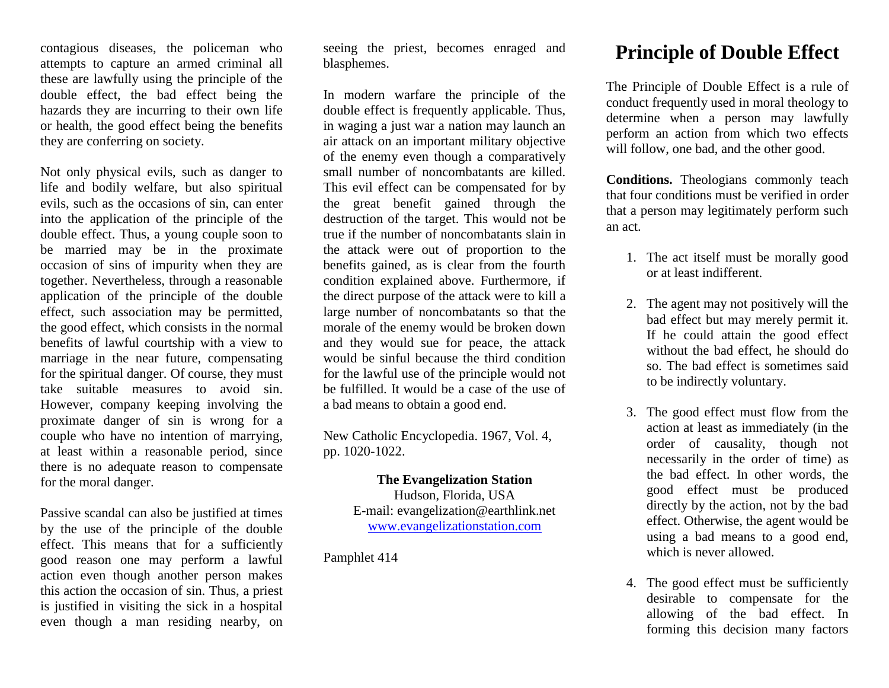contagious diseases, the policeman who attempts to capture an armed criminal all these are lawfully using the principle of the double effect, the bad effect being the hazards they are incurring to their own life or health, the good effect being the benefits they are conferring on society.

Not only physical evils, such as danger to life and bodily welfare, but also spiritual evils, such as the occasions of sin, can enter into the application of the principle of the double effect. Thus, a young couple soon to be married may be in the proximate occasion of sins of impurity when they are together. Nevertheless, through a reasonable application of the principle of the double effect, such association may be permitted, the good effect, which consists in the normal benefits of lawful courtship with a view to marriage in the near future, compensating for the spiritual danger. Of course, they must take suitable measures to avoid sin. However, company keeping involving the proximate danger of sin is wrong for a couple who have no intention of marrying, at least within a reasonable period, since there is no adequate reason to compensate for the moral danger.

Passive scandal can also be justified at times by the use of the principle of the double effect. This means that for a sufficiently good reason one may perform a lawful action even though another person makes this action the occasion of sin. Thus, a priest is justified in visiting the sick in a hospital even though a man residing nearby, on seeing the priest, becomes enraged and blasphemes.

In modern warfare the principle of the double effect is frequently applicable. Thus, in waging a just war a nation may launch an air attack on an important military objective of the enemy even though a comparatively small number of noncombatants are killed. This evil effect can be compensated for by the great benefit gained through the destruction of the target. This would not be true if the number of noncombatants slain in the attack were out of proportion to the benefits gained, as is clear from the fourth condition explained above. Furthermore, if the direct purpose of the attack were to kill a large number of noncombatants so that the morale of the enemy would be broken down and they would sue for peace, the attack would be sinful because the third condition for the lawful use of the principle would not be fulfilled. It would be a case of the use of a bad means to obtain a good end.

New Catholic Encyclopedia. 1967, Vol. 4, pp. 1020-1022.

> **The Evangelization Station**  Hudson, Florida, USA E-mail: evangelization@earthlink.net [www.evangelizationstation.com](http://www.pjpiisoe.org/)

Pamphlet 414

## **Principle of Double Effect**

The Principle of Double Effect is a rule of conduct frequently used in moral theology to determine when a person may lawfully perform an action from which two effects will follow, one bad, and the other good.

**Conditions.** Theologians commonly teach that four conditions must be verified in order that a person may legitimately perform such an act.

- 1. The act itself must be morally good or at least indifferent.
- 2. The agent may not positively will the bad effect but may merely permit it. If he could attain the good effect without the bad effect, he should do so. The bad effect is sometimes said to be indirectly voluntary.
- 3. The good effect must flow from the action at least as immediately (in the order of causality, though not necessarily in the order of time) as the bad effect. In other words, the good effect must be produced directly by the action, not by the bad effect. Otherwise, the agent would be using a bad means to a good end, which is never allowed.
- 4. The good effect must be sufficiently desirable to compensate for the allowing of the bad effect. In forming this decision many factors